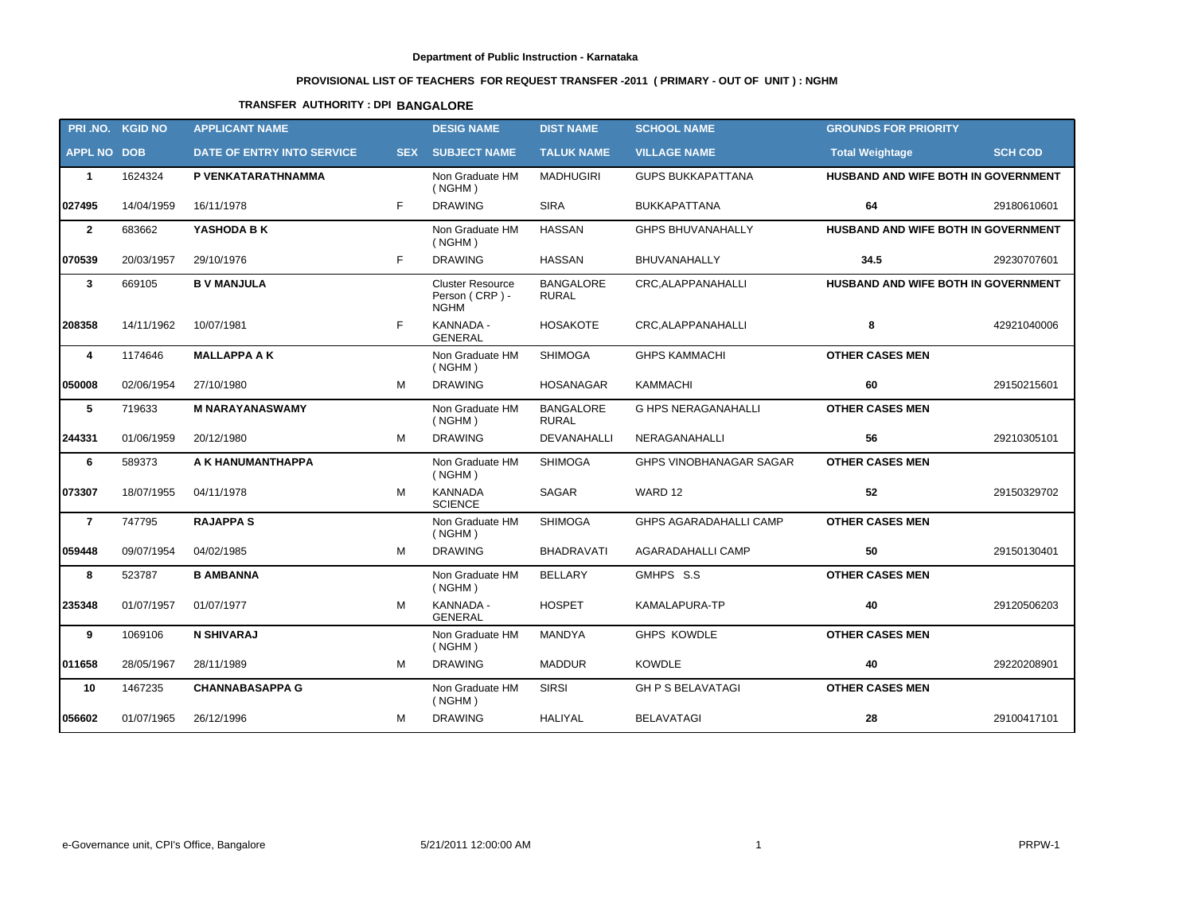# **PROVISIONAL LIST OF TEACHERS FOR REQUEST TRANSFER -2011 ( PRIMARY - OUT OF UNIT ) : NGHM**

# **TRANSFER AUTHORITY : DPI BANGALORE**

|                    | PRI.NO. KGID NO | <b>APPLICANT NAME</b>      |            | <b>DESIG NAME</b>                                        | <b>DIST NAME</b>                 | <b>SCHOOL NAME</b>         | <b>GROUNDS FOR PRIORITY</b>         |                |
|--------------------|-----------------|----------------------------|------------|----------------------------------------------------------|----------------------------------|----------------------------|-------------------------------------|----------------|
| <b>APPL NO DOB</b> |                 | DATE OF ENTRY INTO SERVICE | <b>SEX</b> | <b>SUBJECT NAME</b>                                      | <b>TALUK NAME</b>                | <b>VILLAGE NAME</b>        | <b>Total Weightage</b>              | <b>SCH COD</b> |
| $\overline{1}$     | 1624324         | P VENKATARATHNAMMA         |            | Non Graduate HM<br>( NGHM)                               | <b>MADHUGIRI</b>                 | <b>GUPS BUKKAPATTANA</b>   | HUSBAND AND WIFE BOTH IN GOVERNMENT |                |
| 027495             | 14/04/1959      | 16/11/1978                 | F          | <b>DRAWING</b>                                           | <b>SIRA</b>                      | <b>BUKKAPATTANA</b>        | 64                                  | 29180610601    |
| $\overline{2}$     | 683662          | YASHODA B K                |            | Non Graduate HM<br>( NGHM)                               | <b>HASSAN</b>                    | <b>GHPS BHUVANAHALLY</b>   | HUSBAND AND WIFE BOTH IN GOVERNMENT |                |
| 070539             | 20/03/1957      | 29/10/1976                 | F          | <b>DRAWING</b>                                           | <b>HASSAN</b>                    | BHUVANAHALLY               | 34.5                                | 29230707601    |
| $\mathbf{3}$       | 669105          | <b>B V MANJULA</b>         |            | <b>Cluster Resource</b><br>Person (CRP) -<br><b>NGHM</b> | <b>BANGALORE</b><br><b>RURAL</b> | CRC, ALAPPANAHALLI         | HUSBAND AND WIFE BOTH IN GOVERNMENT |                |
| 208358             | 14/11/1962      | 10/07/1981                 | F          | KANNADA -<br><b>GENERAL</b>                              | <b>HOSAKOTE</b>                  | CRC, ALAPPANAHALLI         | 8                                   | 42921040006    |
| 4                  | 1174646         | <b>MALLAPPA A K</b>        |            | Non Graduate HM<br>( NGHM)                               | <b>SHIMOGA</b>                   | <b>GHPS KAMMACHI</b>       | <b>OTHER CASES MEN</b>              |                |
| 050008             | 02/06/1954      | 27/10/1980                 | M          | <b>DRAWING</b>                                           | <b>HOSANAGAR</b>                 | <b>KAMMACHI</b>            | 60                                  | 29150215601    |
| 5                  | 719633          | <b>M NARAYANASWAMY</b>     |            | Non Graduate HM<br>(NGHM)                                | <b>BANGALORE</b><br><b>RURAL</b> | <b>G HPS NERAGANAHALLI</b> | <b>OTHER CASES MEN</b>              |                |
| 244331             | 01/06/1959      | 20/12/1980                 | M          | <b>DRAWING</b>                                           | DEVANAHALLI                      | NERAGANAHALLI              | 56                                  | 29210305101    |
| 6                  | 589373          | A K HANUMANTHAPPA          |            | Non Graduate HM<br>( NGHM)                               | <b>SHIMOGA</b>                   | GHPS VINOBHANAGAR SAGAR    | <b>OTHER CASES MEN</b>              |                |
| 073307             | 18/07/1955      | 04/11/1978                 | M          | <b>KANNADA</b><br><b>SCIENCE</b>                         | SAGAR                            | WARD 12                    | 52                                  | 29150329702    |
| $\overline{7}$     | 747795          | <b>RAJAPPA S</b>           |            | Non Graduate HM<br>( NGHM)                               | <b>SHIMOGA</b>                   | GHPS AGARADAHALLI CAMP     | <b>OTHER CASES MEN</b>              |                |
| 059448             | 09/07/1954      | 04/02/1985                 | M          | <b>DRAWING</b>                                           | <b>BHADRAVATI</b>                | AGARADAHALLI CAMP          | 50                                  | 29150130401    |
| 8                  | 523787          | <b>B AMBANNA</b>           |            | Non Graduate HM<br>( NGHM)                               | <b>BELLARY</b>                   | GMHPS S.S                  | <b>OTHER CASES MEN</b>              |                |
| 235348             | 01/07/1957      | 01/07/1977                 | M          | KANNADA -<br><b>GENERAL</b>                              | <b>HOSPET</b>                    | KAMALAPURA-TP              | 40                                  | 29120506203    |
| 9                  | 1069106         | <b>N SHIVARAJ</b>          |            | Non Graduate HM<br>( NGHM)                               | MANDYA                           | <b>GHPS KOWDLE</b>         | <b>OTHER CASES MEN</b>              |                |
| 011658             | 28/05/1967      | 28/11/1989                 | M          | <b>DRAWING</b>                                           | <b>MADDUR</b>                    | <b>KOWDLE</b>              | 40                                  | 29220208901    |
| 10                 | 1467235         | <b>CHANNABASAPPA G</b>     |            | Non Graduate HM<br>( NGHM)                               | <b>SIRSI</b>                     | <b>GH P S BELAVATAGI</b>   | <b>OTHER CASES MEN</b>              |                |
| 056602             | 01/07/1965      | 26/12/1996                 | M          | <b>DRAWING</b>                                           | HALIYAL                          | <b>BELAVATAGI</b>          | 28                                  | 29100417101    |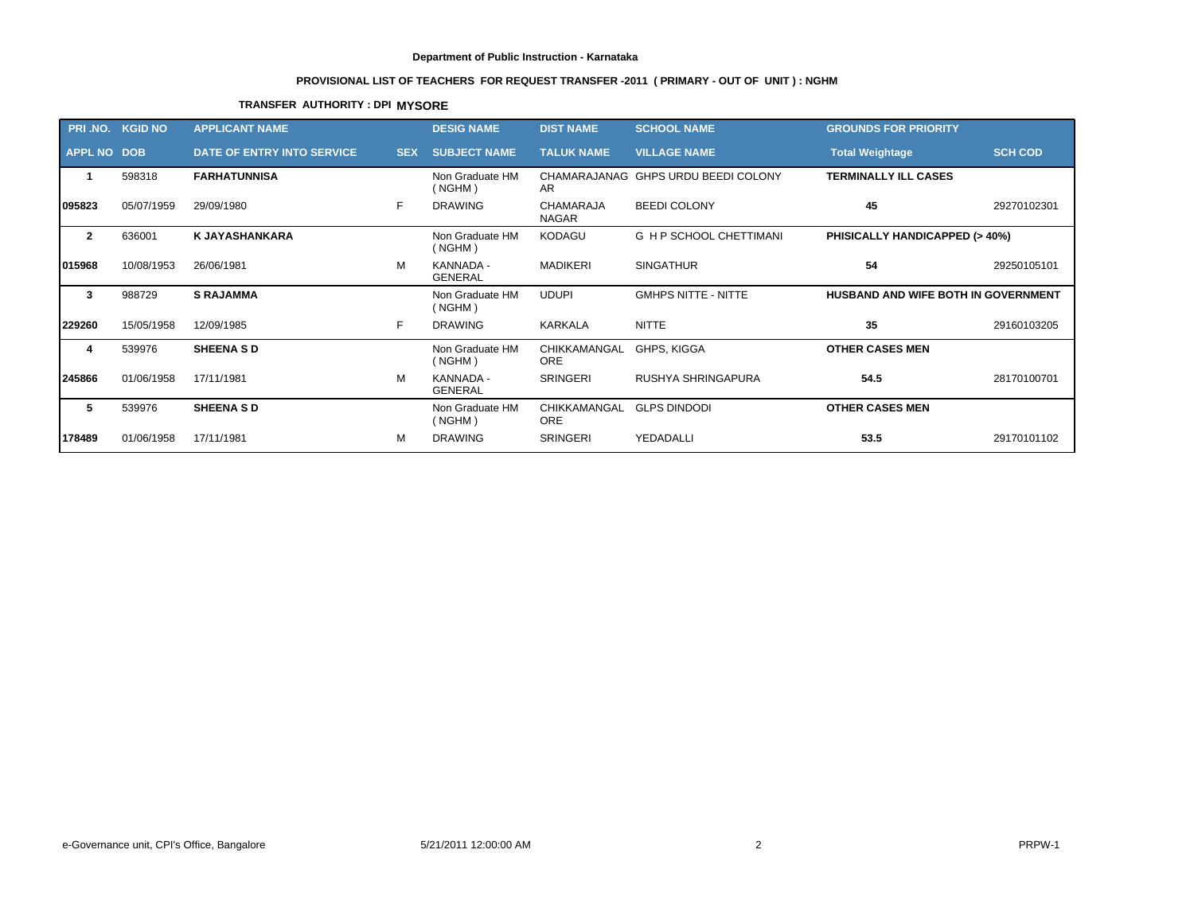# **PROVISIONAL LIST OF TEACHERS FOR REQUEST TRANSFER -2011 ( PRIMARY - OUT OF UNIT ) : NGHM**

## **TRANSFER AUTHORITY : DPI MYSORE**

| PRI .NO.           | <b>KGID NO</b> | <b>APPLICANT NAME</b>      |            | <b>DESIG NAME</b>           | <b>DIST NAME</b>                 | <b>SCHOOL NAME</b>                  | <b>GROUNDS FOR PRIORITY</b>         |                |
|--------------------|----------------|----------------------------|------------|-----------------------------|----------------------------------|-------------------------------------|-------------------------------------|----------------|
| <b>APPL NO DOB</b> |                | DATE OF ENTRY INTO SERVICE | <b>SEX</b> | <b>SUBJECT NAME</b>         | <b>TALUK NAME</b>                | <b>VILLAGE NAME</b>                 | <b>Total Weightage</b>              | <b>SCH COD</b> |
|                    | 598318         | <b>FARHATUNNISA</b>        |            | Non Graduate HM<br>(NGHM)   | AR                               | CHAMARAJANAG GHPS URDU BEEDI COLONY | <b>TERMINALLY ILL CASES</b>         |                |
| 095823             | 05/07/1959     | 29/09/1980                 | F.         | <b>DRAWING</b>              | <b>CHAMARAJA</b><br><b>NAGAR</b> | <b>BEEDI COLONY</b>                 | 45                                  | 29270102301    |
| $\overline{2}$     | 636001         | <b>K JAYASHANKARA</b>      |            | Non Graduate HM<br>(NGHM)   | <b>KODAGU</b>                    | <b>G H P SCHOOL CHETTIMANI</b>      | PHISICALLY HANDICAPPED (> 40%)      |                |
| 015968             | 10/08/1953     | 26/06/1981                 | м          | KANNADA -<br><b>GENERAL</b> | <b>MADIKERI</b>                  | <b>SINGATHUR</b>                    | 54                                  | 29250105101    |
| 3                  | 988729         | <b>S RAJAMMA</b>           |            | Non Graduate HM<br>(NGHM)   | <b>UDUPI</b>                     | <b>GMHPS NITTE - NITTE</b>          | HUSBAND AND WIFE BOTH IN GOVERNMENT |                |
| 229260             | 15/05/1958     | 12/09/1985                 | F          | <b>DRAWING</b>              | <b>KARKALA</b>                   | <b>NITTE</b>                        | 35                                  | 29160103205    |
| 4                  | 539976         | <b>SHEENA SD</b>           |            | Non Graduate HM<br>(NGHM)   | CHIKKAMANGAL<br><b>ORE</b>       | GHPS, KIGGA                         | <b>OTHER CASES MEN</b>              |                |
| 245866             | 01/06/1958     | 17/11/1981                 | м          | KANNADA -<br><b>GENERAL</b> | <b>SRINGERI</b>                  | RUSHYA SHRINGAPURA                  | 54.5                                | 28170100701    |
| 5                  | 539976         | <b>SHEENA SD</b>           |            | Non Graduate HM<br>(NGHM)   | CHIKKAMANGAL<br>ORE              | <b>GLPS DINDODI</b>                 | <b>OTHER CASES MEN</b>              |                |
| 178489             | 01/06/1958     | 17/11/1981                 | м          | <b>DRAWING</b>              | <b>SRINGERI</b>                  | YEDADALLI                           | 53.5                                | 29170101102    |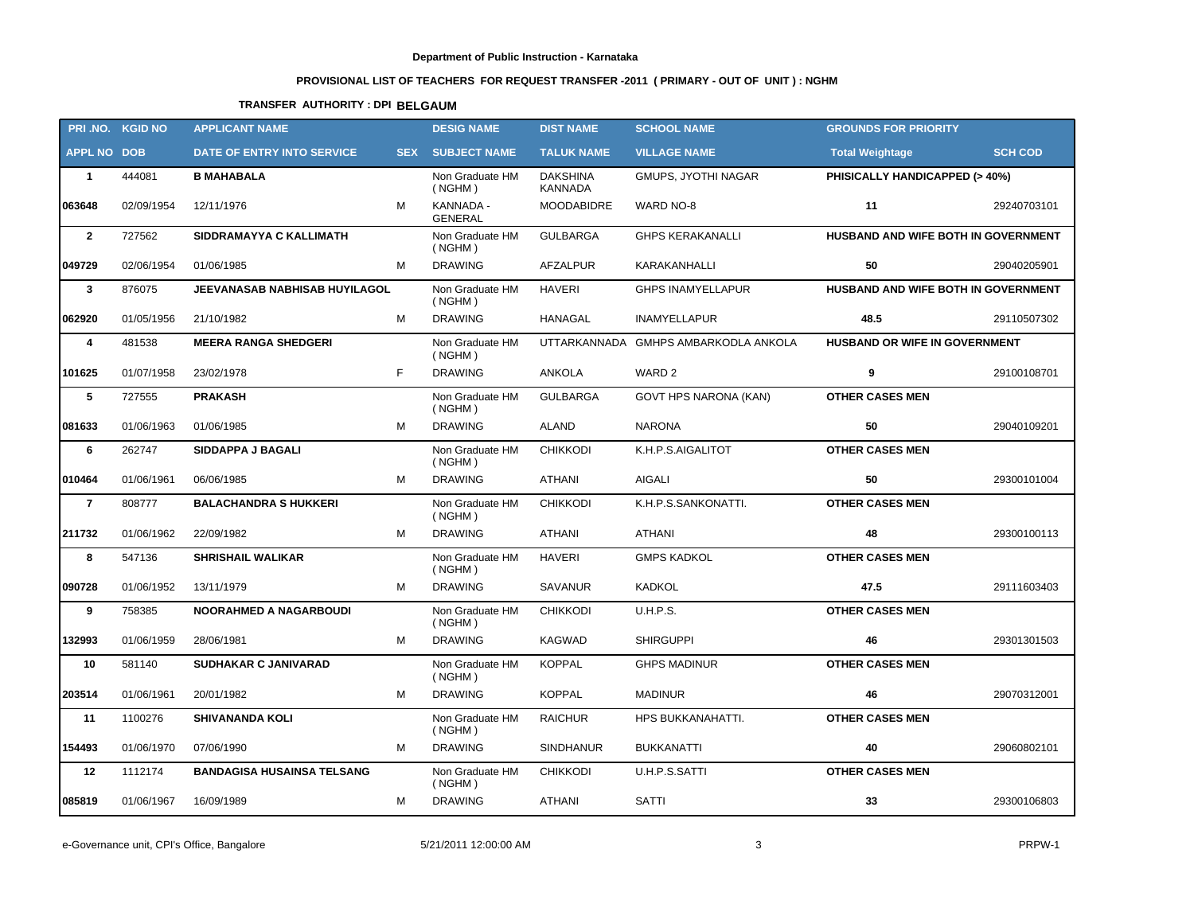# **PROVISIONAL LIST OF TEACHERS FOR REQUEST TRANSFER -2011 ( PRIMARY - OUT OF UNIT ) : NGHM**

# **TRANSFER AUTHORITY : DPI BELGAUM**

| PRI .NO.           | <b>KGID NO</b> | <b>APPLICANT NAME</b>             |            | <b>DESIG NAME</b>           | <b>DIST NAME</b>           | <b>SCHOOL NAME</b>                   | <b>GROUNDS FOR PRIORITY</b>         |                |
|--------------------|----------------|-----------------------------------|------------|-----------------------------|----------------------------|--------------------------------------|-------------------------------------|----------------|
| <b>APPL NO DOB</b> |                | DATE OF ENTRY INTO SERVICE        | <b>SEX</b> | <b>SUBJECT NAME</b>         | <b>TALUK NAME</b>          | <b>VILLAGE NAME</b>                  | <b>Total Weightage</b>              | <b>SCH COD</b> |
| $\mathbf{1}$       | 444081         | <b>B MAHABALA</b>                 |            | Non Graduate HM<br>( NGHM)  | <b>DAKSHINA</b><br>KANNADA | <b>GMUPS, JYOTHI NAGAR</b>           | PHISICALLY HANDICAPPED (> 40%)      |                |
| 063648             | 02/09/1954     | 12/11/1976                        | M          | KANNADA -<br><b>GENERAL</b> | <b>MOODABIDRE</b>          | WARD NO-8                            | 11                                  | 29240703101    |
| $\overline{2}$     | 727562         | SIDDRAMAYYA C KALLIMATH           |            | Non Graduate HM<br>( NGHM)  | <b>GULBARGA</b>            | <b>GHPS KERAKANALLI</b>              | HUSBAND AND WIFE BOTH IN GOVERNMENT |                |
| 049729             | 02/06/1954     | 01/06/1985                        | M          | <b>DRAWING</b>              | <b>AFZALPUR</b>            | KARAKANHALLI                         | 50                                  | 29040205901    |
| $\mathbf{3}$       | 876075         | JEEVANASAB NABHISAB HUYILAGOL     |            | Non Graduate HM<br>( NGHM)  | <b>HAVERI</b>              | <b>GHPS INAMYELLAPUR</b>             | HUSBAND AND WIFE BOTH IN GOVERNMENT |                |
| 062920             | 01/05/1956     | 21/10/1982                        | M          | <b>DRAWING</b>              | <b>HANAGAL</b>             | <b>INAMYELLAPUR</b>                  | 48.5                                | 29110507302    |
| 4                  | 481538         | <b>MEERA RANGA SHEDGERI</b>       |            | Non Graduate HM<br>( NGHM)  |                            | UTTARKANNADA GMHPS AMBARKODLA ANKOLA | HUSBAND OR WIFE IN GOVERNMENT       |                |
| 101625             | 01/07/1958     | 23/02/1978                        | F.         | <b>DRAWING</b>              | ANKOLA                     | WARD 2                               | 9                                   | 29100108701    |
| 5                  | 727555         | <b>PRAKASH</b>                    |            | Non Graduate HM<br>( NGHM)  | <b>GULBARGA</b>            | GOVT HPS NARONA (KAN)                | <b>OTHER CASES MEN</b>              |                |
| 081633             | 01/06/1963     | 01/06/1985                        | M          | <b>DRAWING</b>              | <b>ALAND</b>               | <b>NARONA</b>                        | 50                                  | 29040109201    |
| 6                  | 262747         | SIDDAPPA J BAGALI                 |            | Non Graduate HM<br>( NGHM)  | <b>CHIKKODI</b>            | K.H.P.S.AIGALITOT                    | <b>OTHER CASES MEN</b>              |                |
| 010464             | 01/06/1961     | 06/06/1985                        | м          | <b>DRAWING</b>              | <b>ATHANI</b>              | <b>AIGALI</b>                        | 50                                  | 29300101004    |
| $\overline{7}$     | 808777         | <b>BALACHANDRA S HUKKERI</b>      |            | Non Graduate HM<br>( NGHM)  | <b>CHIKKODI</b>            | K.H.P.S.SANKONATTI.                  | <b>OTHER CASES MEN</b>              |                |
| 211732             | 01/06/1962     | 22/09/1982                        | М          | <b>DRAWING</b>              | <b>ATHANI</b>              | <b>ATHANI</b>                        | 48                                  | 29300100113    |
| 8                  | 547136         | <b>SHRISHAIL WALIKAR</b>          |            | Non Graduate HM<br>( NGHM)  | <b>HAVERI</b>              | <b>GMPS KADKOL</b>                   | <b>OTHER CASES MEN</b>              |                |
| 090728             | 01/06/1952     | 13/11/1979                        | м          | <b>DRAWING</b>              | <b>SAVANUR</b>             | <b>KADKOL</b>                        | 47.5                                | 29111603403    |
| 9                  | 758385         | <b>NOORAHMED A NAGARBOUDI</b>     |            | Non Graduate HM<br>( NGHM)  | <b>CHIKKODI</b>            | <b>U.H.P.S.</b>                      | <b>OTHER CASES MEN</b>              |                |
| 132993             | 01/06/1959     | 28/06/1981                        | м          | <b>DRAWING</b>              | <b>KAGWAD</b>              | <b>SHIRGUPPI</b>                     | 46                                  | 29301301503    |
| 10                 | 581140         | <b>SUDHAKAR C JANIVARAD</b>       |            | Non Graduate HM<br>( NGHM)  | <b>KOPPAL</b>              | <b>GHPS MADINUR</b>                  | <b>OTHER CASES MEN</b>              |                |
| 203514             | 01/06/1961     | 20/01/1982                        | м          | <b>DRAWING</b>              | <b>KOPPAL</b>              | <b>MADINUR</b>                       | 46                                  | 29070312001    |
| 11                 | 1100276        | <b>SHIVANANDA KOLI</b>            |            | Non Graduate HM<br>( NGHM)  | <b>RAICHUR</b>             | HPS BUKKANAHATTI.                    | <b>OTHER CASES MEN</b>              |                |
| 154493             | 01/06/1970     | 07/06/1990                        | М          | <b>DRAWING</b>              | <b>SINDHANUR</b>           | <b>BUKKANATTI</b>                    | 40                                  | 29060802101    |
| 12                 | 1112174        | <b>BANDAGISA HUSAINSA TELSANG</b> |            | Non Graduate HM<br>( NGHM)  | <b>CHIKKODI</b>            | U.H.P.S.SATTI                        | <b>OTHER CASES MEN</b>              |                |
| 085819             | 01/06/1967     | 16/09/1989                        | М          | <b>DRAWING</b>              | ATHANI                     | <b>SATTI</b>                         | 33                                  | 29300106803    |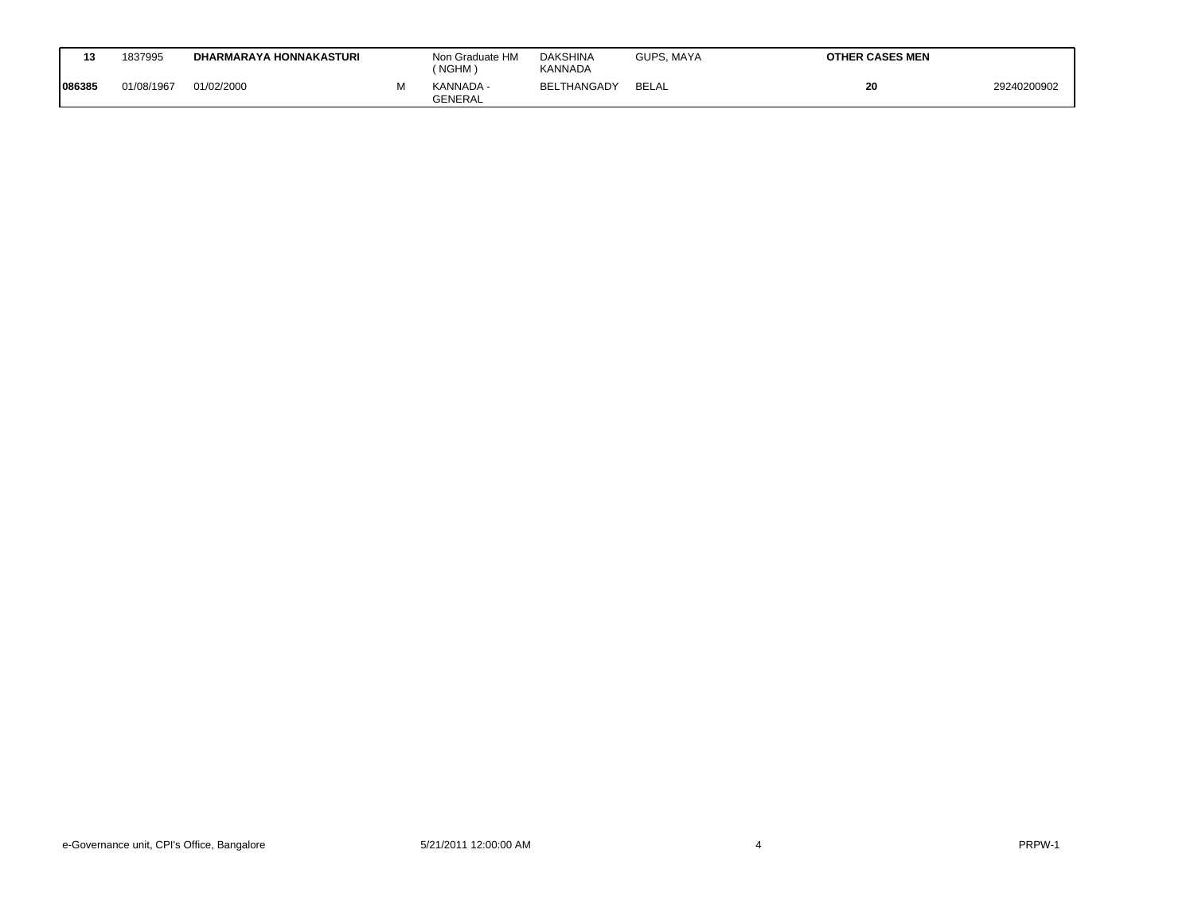| 13     | 1837995    | <b>DHARMARAYA HONNAKASTURI</b> | Non Graduate HM<br>(NGHM)   | <b>DAKSHINA</b><br>KANNADA | GUPS, MAYA | <b>OTHER CASES MEN</b> |             |
|--------|------------|--------------------------------|-----------------------------|----------------------------|------------|------------------------|-------------|
| 086385 | 01/08/1967 | 01/02/2000                     | KANNADA -<br><b>GENERAL</b> | <b>BELTHANGADY</b>         | BELAL      | 20                     | 29240200902 |